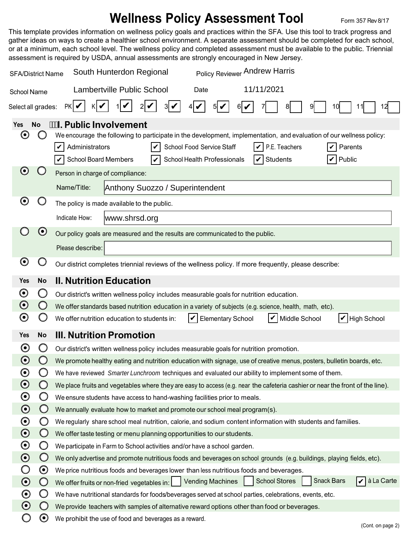## **Wellness Policy Assessment Tool Form 357 Rev 8/17**

This template provides information on wellness policy goals and practices within the SFA. Use this tool to track progress and gather ideas on ways to create a healthier school environment. A separate assessment should be completed for each school, or at a minimum, each school level. The wellness policy and completed assessment must be available to the public. Triennial assessment is required by USDA, annual assessments are strongly encouraged in New Jersey.

| Policy Reviewer Andrew Harris<br>South Hunterdon Regional<br><b>SFA/District Name</b>                  |                                                                                                                                                                                                                                                                                                                                            |                                                                                                                                                                                                                                             |  |  |  |  |  |
|--------------------------------------------------------------------------------------------------------|--------------------------------------------------------------------------------------------------------------------------------------------------------------------------------------------------------------------------------------------------------------------------------------------------------------------------------------------|---------------------------------------------------------------------------------------------------------------------------------------------------------------------------------------------------------------------------------------------|--|--|--|--|--|
| <b>School Name</b>                                                                                     |                                                                                                                                                                                                                                                                                                                                            | 11/11/2021<br><b>Lambertville Public School</b><br>Date                                                                                                                                                                                     |  |  |  |  |  |
| PKI✔<br>Select all grades:<br>10                                                                       |                                                                                                                                                                                                                                                                                                                                            |                                                                                                                                                                                                                                             |  |  |  |  |  |
| Yes<br>$\boldsymbol{\Theta}$                                                                           | <b>I. Public Involvement</b><br><b>No</b><br>We encourage the following to participate in the development, implementation, and evaluation of our wellness policy:<br>Administrators<br>School Food Service Staff<br>V<br>P.E. Teachers<br>Parents<br>Public<br><b>School Board Members</b><br>School Health Professionals<br>Students<br>V |                                                                                                                                                                                                                                             |  |  |  |  |  |
| $\boldsymbol{\Theta}$                                                                                  |                                                                                                                                                                                                                                                                                                                                            | Person in charge of compliance:                                                                                                                                                                                                             |  |  |  |  |  |
|                                                                                                        |                                                                                                                                                                                                                                                                                                                                            | Name/Title:<br>Anthony Suozzo / Superintendent                                                                                                                                                                                              |  |  |  |  |  |
| O                                                                                                      |                                                                                                                                                                                                                                                                                                                                            | The policy is made available to the public.                                                                                                                                                                                                 |  |  |  |  |  |
|                                                                                                        |                                                                                                                                                                                                                                                                                                                                            | Indicate How:<br>www.shrsd.org                                                                                                                                                                                                              |  |  |  |  |  |
| $\boldsymbol{\Theta}$<br>Our policy goals are measured and the results are communicated to the public. |                                                                                                                                                                                                                                                                                                                                            |                                                                                                                                                                                                                                             |  |  |  |  |  |
|                                                                                                        |                                                                                                                                                                                                                                                                                                                                            | Please describe:                                                                                                                                                                                                                            |  |  |  |  |  |
| $\boldsymbol{\Theta}$                                                                                  | O                                                                                                                                                                                                                                                                                                                                          | Our district completes triennial reviews of the wellness policy. If more frequently, please describe:                                                                                                                                       |  |  |  |  |  |
| Yes                                                                                                    | <b>No</b>                                                                                                                                                                                                                                                                                                                                  | <b>II. Nutrition Education</b>                                                                                                                                                                                                              |  |  |  |  |  |
| $\boldsymbol{\odot}$                                                                                   | Ő                                                                                                                                                                                                                                                                                                                                          | Our district's written wellness policy includes measurable goals for nutrition education.                                                                                                                                                   |  |  |  |  |  |
| $\boldsymbol{\Theta}$                                                                                  | $\bigcirc$                                                                                                                                                                                                                                                                                                                                 | We offer standards based nutrition education in a variety of subjects (e.g. science, health, math, etc).<br>V<br>Middle School<br>$ V $ High School<br>We offer nutrition education to students in:<br>V<br><b>Elementary School</b>        |  |  |  |  |  |
| $\boldsymbol{\Theta}$                                                                                  | $\cup$                                                                                                                                                                                                                                                                                                                                     |                                                                                                                                                                                                                                             |  |  |  |  |  |
| <b>Yes</b>                                                                                             | <b>No</b>                                                                                                                                                                                                                                                                                                                                  | <b>III. Nutrition Promotion</b>                                                                                                                                                                                                             |  |  |  |  |  |
| $\boldsymbol{\Theta}$                                                                                  | O                                                                                                                                                                                                                                                                                                                                          | Our district's written wellness policy includes measurable goals for nutrition promotion.                                                                                                                                                   |  |  |  |  |  |
| $\boldsymbol{\Theta}$                                                                                  |                                                                                                                                                                                                                                                                                                                                            | We promote healthy eating and nutrition education with signage, use of creative menus, posters, bulletin boards, etc.                                                                                                                       |  |  |  |  |  |
| $\boldsymbol{\odot}$                                                                                   | Ő                                                                                                                                                                                                                                                                                                                                          | We have reviewed Smarter Lunchroom techniques and evaluated our ability to implement some of them.                                                                                                                                          |  |  |  |  |  |
| $\boldsymbol{\odot}$                                                                                   | $\bigcirc$                                                                                                                                                                                                                                                                                                                                 | We place fruits and vegetables where they are easy to access (e.g. near the cafeteria cashier or near the front of the line).                                                                                                               |  |  |  |  |  |
| $\boldsymbol{\Theta}$                                                                                  | $\bigcirc$                                                                                                                                                                                                                                                                                                                                 | We ensure students have access to hand-washing facilities prior to meals.                                                                                                                                                                   |  |  |  |  |  |
| $\odot$                                                                                                | $\bigcirc$                                                                                                                                                                                                                                                                                                                                 | We annually evaluate how to market and promote our school meal program(s).                                                                                                                                                                  |  |  |  |  |  |
| $\boldsymbol{\odot}$                                                                                   | O                                                                                                                                                                                                                                                                                                                                          | We regularly share school meal nutrition, calorie, and sodium content information with students and families.                                                                                                                               |  |  |  |  |  |
| $\boldsymbol{\odot}$                                                                                   | $\bigcirc$                                                                                                                                                                                                                                                                                                                                 | We offer taste testing or menu planning opportunities to our students.                                                                                                                                                                      |  |  |  |  |  |
| $\boldsymbol{\Theta}$                                                                                  | O                                                                                                                                                                                                                                                                                                                                          | We participate in Farm to School activities and/or have a school garden.                                                                                                                                                                    |  |  |  |  |  |
| $\boldsymbol{\odot}$<br>O                                                                              | $\bigcirc$<br>$\boldsymbol{\Theta}$                                                                                                                                                                                                                                                                                                        | We only advertise and promote nutritious foods and beverages on school grounds (e.g. buildings, playing fields, etc).                                                                                                                       |  |  |  |  |  |
| $\odot$                                                                                                | $\bigcirc$                                                                                                                                                                                                                                                                                                                                 | We price nutritious foods and beverages lower than less nutritious foods and beverages.<br>$ \mathbf{v} $ à La Carte<br><b>Snack Bars</b><br><b>School Stores</b><br><b>Vending Machines</b><br>We offer fruits or non-fried vegetables in: |  |  |  |  |  |
| $\boldsymbol{\Theta}$                                                                                  | $\bigcirc$                                                                                                                                                                                                                                                                                                                                 | We have nutritional standards for foods/beverages served at school parties, celebrations, events, etc.                                                                                                                                      |  |  |  |  |  |
| $\odot$                                                                                                | $\bigcirc$                                                                                                                                                                                                                                                                                                                                 | We provide teachers with samples of alternative reward options other than food or beverages.                                                                                                                                                |  |  |  |  |  |
|                                                                                                        | $\boldsymbol{\Theta}$                                                                                                                                                                                                                                                                                                                      | We prohibit the use of food and beverages as a reward.<br>(Cont. on page 2)                                                                                                                                                                 |  |  |  |  |  |